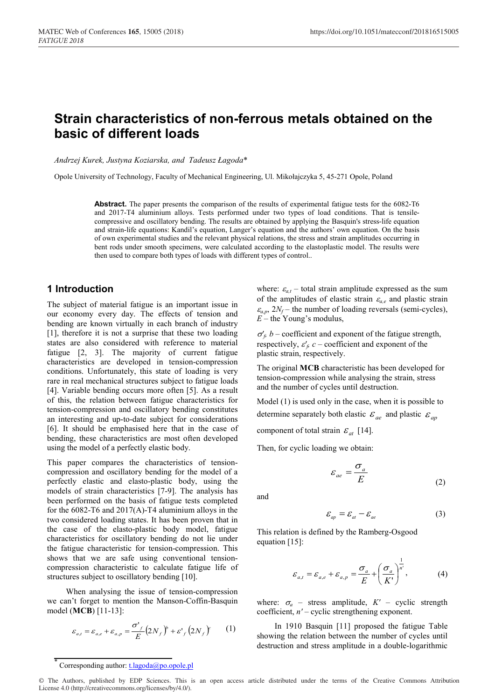# **Strain characteristics of non-ferrous metals obtained on the basic of different loads**

*Andrzej Kurek, Justyna Koziarska, and Tadeusz Łagoda*\*

Opole University of Technology, Faculty of Mechanical Engineering, Ul. Mikołajczyka 5, 45-271 Opole, Poland

**Abstract.** The paper presents the comparison of the results of experimental fatigue tests for the 6082-T6 and 2017-T4 aluminium alloys. Tests performed under two types of load conditions. That is tensilecompressive and oscillatory bending. The results are obtained by applying the Basquin's stress-life equation and strain-life equations: Kandil's equation, Langer's equation and the authors' own equation. On the basis of own experimental studies and the relevant physical relations, the stress and strain amplitudes occurring in bent rods under smooth specimens, were calculated according to the elastoplastic model. The results were then used to compare both types of loads with different types of control..

#### **1 Introduction**

The subject of material fatigue is an important issue in our economy every day. The effects of tension and bending are known virtually in each branch of industry [1], therefore it is not a surprise that these two loading states are also considered with reference to material fatigue [2, 3]. The majority of current fatigue characteristics are developed in tension-compression conditions. Unfortunately, this state of loading is very rare in real mechanical structures subject to fatigue loads [4]. Variable bending occurs more often [5]. As a result of this, the relation between fatigue characteristics for tension-compression and oscillatory bending constitutes an interesting and up-to-date subject for considerations [6]. It should be emphasised here that in the case of bending, these characteristics are most often developed using the model of a perfectly elastic body.

This paper compares the characteristics of tensioncompression and oscillatory bending for the model of a perfectly elastic and elasto-plastic body, using the models of strain characteristics [7-9]. The analysis has been performed on the basis of fatigue tests completed for the 6082-T6 and 2017(A)-T4 aluminium alloys in the two considered loading states. It has been proven that in the case of the elasto-plastic body model, fatigue characteristics for oscillatory bending do not lie under the fatigue characteristic for tension-compression. This shows that we are safe using conventional tensioncompression characteristic to calculate fatigue life of structures subject to oscillatory bending [10].

When analysing the issue of tension-compression we can't forget to mention the Manson-Coffin-Basquin model (**MCB**) [11-13]:

$$
\varepsilon_{a,t} = \varepsilon_{a,e} + \varepsilon_{a,p} = \frac{\sigma'}{E} \left( 2N_f \right)^{\varepsilon} + \varepsilon'_{f} \left( 2N_f \right)^{\varepsilon} \tag{1}
$$

where:  $\varepsilon_{a,t}$  – total strain amplitude expressed as the sum of the amplitudes of elastic strain  $\varepsilon_{a,e}$  and plastic strain  $\varepsilon$ <sub>a,p</sub>,  $2N_f$  – the number of loading reversals (semi-cycles), *E* – the Young's modulus,

 $\sigma'_f$ , *b* – coefficient and exponent of the fatigue strength, respectively,  $\varepsilon'_b$  c – coefficient and exponent of the plastic strain, respectively.

The original **MCB** characteristic has been developed for tension-compression while analysing the strain, stress and the number of cycles until destruction.

Model (1) is used only in the case, when it is possible to determine separately both elastic  $\varepsilon_{ae}$  and plastic  $\varepsilon_{ap}$ 

component of total strain  $\varepsilon_{at}$  [14].

Then, for cyclic loading we obtain:

$$
\varepsilon_{ae} = \frac{\sigma_a}{E} \tag{2}
$$

and

$$
\varepsilon_{ap} = \varepsilon_{at} - \varepsilon_{ae} \tag{3}
$$

This relation is defined by the Ramberg-Osgood equation  $[15]$ :

$$
\varepsilon_{a,t} = \varepsilon_{a,e} + \varepsilon_{a,p} = \frac{\sigma_a}{E} + \left(\frac{\sigma_a}{K'}\right)^{\frac{1}{n'}},
$$
 (4)

where:  $\sigma_a$  – stress amplitude,  $K'$  – cyclic strength coefficient, *n'* – cyclic strengthening exponent.

In 1910 Basquin [11] proposed the fatigue Table showing the relation between the number of cycles until destruction and stress amplitude in a double-logarithmic

Corresponding author: t.lagoda@po.opole.pl

<sup>©</sup> The Authors, published by EDP Sciences. This is an open access article distributed under the terms of the Creative Commons Attribution License 4.0 (http://creativecommons.org/licenses/by/4.0/).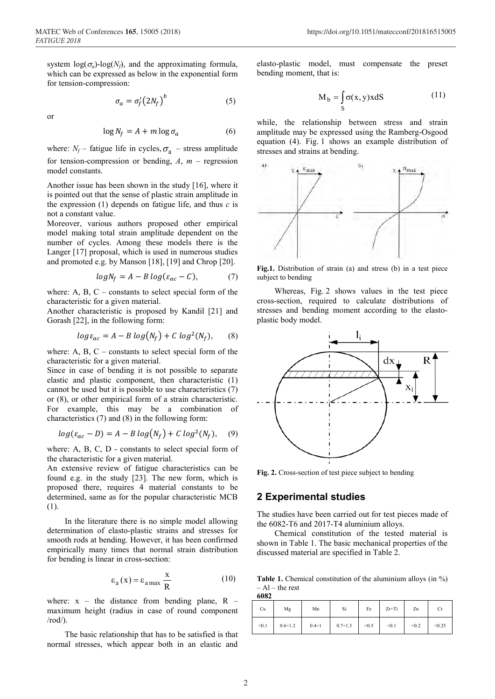system  $log(\sigma_a)$ -log( $N_f$ ), and the approximating formula, which can be expressed as below in the exponential form for tension-compression:

> $\sigma_a = \sigma_f^{\prime}(2N_f)$ (5)

or

$$
\log N_f = A + m \log \sigma_a \tag{6}
$$

where:  $N_f$  – fatigue life in cycles,  $\sigma_a$  – stress amplitude for tension-compression or bending,  $A$ ,  $m$  – regression model constants.

Another issue has been shown in the study [16], where it is pointed out that the sense of plastic strain amplitude in the expression (1) depends on fatigue life, and thus *c* is not a constant value.

Moreover, various authors proposed other empirical model making total strain amplitude dependent on the number of cycles. Among these models there is the Langer [17] proposal, which is used in numerous studies and promoted e.g. by Manson [18], [19] and Chrop [20].

$$
log N_f = A - B log(\varepsilon_{ac} - C), \tag{7}
$$

where: A, B, C – constants to select special form of the characteristic for a given material.

Another characteristic is proposed by Kandil [21] and Gorash [22], in the following form:

$$
log \varepsilon_{ac} = A - B \log (N_f) + C \log^2 (N_f), \quad (8)
$$

where: A, B, C – constants to select special form of the characteristic for a given material.

Since in case of bending it is not possible to separate elastic and plastic component, then characteristic (1) cannot be used but it is possible to use characteristics (7) or (8), or other empirical form of a strain characteristic. For example, this may be a combination of characteristics (7) and (8) in the following form:

$$
log(\varepsilon_{ac} - D) = A - B log(N_f) + C log2(N_f),
$$
 (9)

where: A, B, C, D - constants to select special form of the characteristic for a given material.

An extensive review of fatigue characteristics can be found e.g. in the study [23]. The new form, which is proposed there, requires 4 material constants to be determined, same as for the popular characteristic MCB (1).

In the literature there is no simple model allowing determination of elasto-plastic strains and stresses for smooth rods at bending. However, it has been confirmed empirically many times that normal strain distribution for bending is linear in cross-section:

$$
\varepsilon_{a}(x) = \varepsilon_{a \max} \frac{x}{R}
$$
 (10)

where:  $x -$  the distance from bending plane,  $R$ maximum height (radius in case of round component  $\prime$ rod $\prime$ ).

The basic relationship that has to be satisfied is that normal stresses, which appear both in an elastic and

elasto-plastic model, must compensate the preset bending moment, that is:

$$
M_b = \int_S \sigma(x, y) x dS \tag{11}
$$

while, the relationship between stress and strain amplitude may be expressed using the Ramberg-Osgood equation (4). Fig. 1 shows an example distribution of stresses and strains at bending.



**Fig.1.** Distribution of strain (a) and stress (b) in a test piece subject to bending

Whereas, Fig. 2 shows values in the test piece cross-section, required to calculate distributions of stresses and bending moment according to the elastoplastic body model.



**Fig. 2.** Cross-section of test piece subject to bending

#### **2 Experimental studies**

The studies have been carried out for test pieces made of the 6082-T6 and 2017-T4 aluminium alloys.

Chemical constitution of the tested material is shown in Table 1. The basic mechanical properties of the discussed material are specified in Table 2.

**Table 1.** Chemical constitution of the aluminium alloys (in %)  $-$  Al – the rest **6082**

| Cu    | Mg             | Mn           | Si             | Fe    | $Zr+Ti$ | Zn    | Сr     |
|-------|----------------|--------------|----------------|-------|---------|-------|--------|
| < 0.1 | $0.6 \div 1.2$ | $0.4 \div 1$ | $0.7 \div 1.3$ | < 0.5 | < 0.1   | < 0.2 | < 0.25 |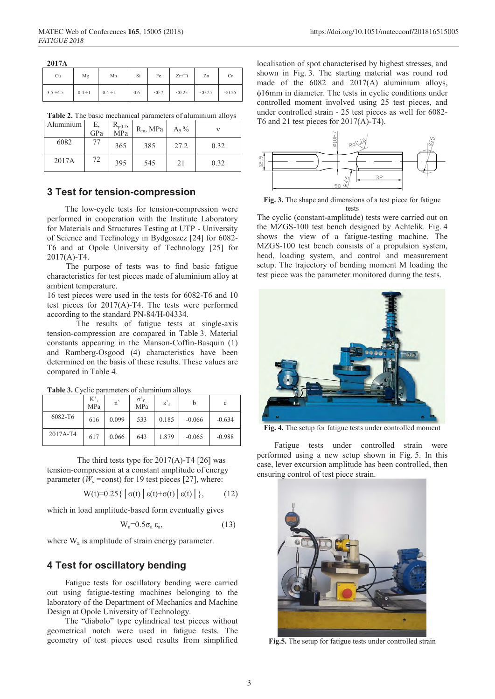| 2017A          |              |           |     |       |         |        |        |
|----------------|--------------|-----------|-----|-------|---------|--------|--------|
| Cu             | Mg           | Mn        | Si  | Fe    | $Zr+Ti$ | Zn     |        |
| $3.5 \div 4.5$ | $0.4 \div 1$ | $0.4 + 1$ | 0.6 | < 0.7 | < 0.25  | < 0.25 | < 0.25 |

**Table 2.** The basic mechanical parameters of aluminium alloys

| Aluminium | Ε,<br>GPa | $R_{p0.2}$ ,<br>MPa | $R_m$ , MPa | $A_5\%$ |      |
|-----------|-----------|---------------------|-------------|---------|------|
| 6082      | 77        | 365                 | 385         | 27.2    | 0.32 |
| 2017A     | 72        | 395                 | 545         | 21      | 0.32 |

### **3 Test for tension-compression**

The low-cycle tests for tension-compression were performed in cooperation with the Institute Laboratory for Materials and Structures Testing at UTP - University of Science and Technology in Bydgoszcz [24] for 6082- T6 and at Opole University of Technology [25] for 2017(A)-T4.

The purpose of tests was to find basic fatigue characteristics for test pieces made of aluminium alloy at ambient temperature.

16 test pieces were used in the tests for 6082-T6 and 10 test pieces for 2017(A)-T4. The tests were performed according to the standard PN-84/H-04334.

The results of fatigue tests at single-axis tension-compression are compared in Table 3. Material constants appearing in the Manson-Coffin-Basquin (1) and Ramberg-Osgood (4) characteristics have been determined on the basis of these results. These values are compared in Table 4.

|          | K'<br>MPa | n     | $\sigma$ <sup>2</sup> $\epsilon$<br>MPa | $\varepsilon$ ' <sub>f</sub> |          | c        |
|----------|-----------|-------|-----------------------------------------|------------------------------|----------|----------|
| 6082-T6  | 616       | 0.099 | 533                                     | 0.185                        | $-0.066$ | $-0.634$ |
| 2017A-T4 | 617       | 0.066 | 643                                     | 1.879                        | $-0.065$ | $-0.988$ |

**Table 3.** Cyclic parameters of aluminium alloys

The third tests type for  $2017(A)$ -T4 [26] was tension-compression at a constant amplitude of energy parameter ( $W_a$ =const) for 19 test pieces [27], where:

W(t)=0.25{ $\vert \sigma(t) \vert \epsilon(t)+\sigma(t) \vert \epsilon(t)\vert$ }, (12)

which in load amplitude-based form eventually gives

$$
W_a = 0.5\sigma_a \, \epsilon_a,\tag{13}
$$

where  $W_a$  is amplitude of strain energy parameter.

#### **4 Test for oscillatory bending**

Fatigue tests for oscillatory bending were carried out using fatigue-testing machines belonging to the laboratory of the Department of Mechanics and Machine Design at Opole University of Technology.

The "diabolo" type cylindrical test pieces without geometrical notch were used in fatigue tests. The geometry of test pieces used results from simplified

localisation of spot characterised by highest stresses, and shown in Fig. 3. The starting material was round rod made of the 6082 and 2017(A) aluminium alloys, φ16mm in diameter. The tests in cyclic conditions under controlled moment involved using 25 test pieces, and under controlled strain - 25 test pieces as well for 6082- T6 and 21 test pieces for  $2017(A)$ -T4).



**Fig. 3.** The shape and dimensions of a test piece for fatigue tests

The cyclic (constant-amplitude) tests were carried out on the MZGS-100 test bench designed by Achtelik. Fig. 4 shows the view of a fatigue-testing machine. The MZGS-100 test bench consists of a propulsion system, head, loading system, and control and measurement setup. The trajectory of bending moment M loading the test piece was the parameter monitored during the tests.



**Fig. 4.** The setup for fatigue tests under controlled moment

Fatigue tests under controlled strain were performed using a new setup shown in Fig. 5. In this case, lever excursion amplitude has been controlled, then ensuring control of test piece strain.



**Fig.5.** The setup for fatigue tests under controlled strain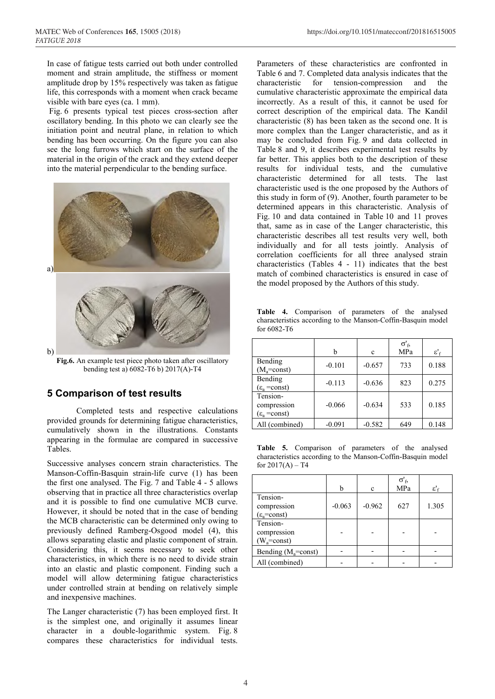In case of fatigue tests carried out both under controlled moment and strain amplitude, the stiffness or moment amplitude drop by 15% respectively was taken as fatigue life, this corresponds with a moment when crack became visible with bare eyes (ca. 1 mm).

Fig. 6 presents typical test pieces cross-section after oscillatory bending. In this photo we can clearly see the initiation point and neutral plane, in relation to which bending has been occurring. On the figure you can also see the long furrows which start on the surface of the material in the origin of the crack and they extend deeper into the material perpendicular to the bending surface.



**Fig.6.** An example test piece photo taken after oscillatory bending test a) 6082-T6 b) 2017(A)-T4

## **5 Comparison of test results**

Completed tests and respective calculations provided grounds for determining fatigue characteristics, cumulatively shown in the illustrations. Constants appearing in the formulae are compared in successive Tables.

Successive analyses concern strain characteristics. The Manson-Coffin-Basquin strain-life curve (1) has been the first one analysed. The Fig. 7 and Table 4 - 5 allows observing that in practice all three characteristics overlap and it is possible to find one cumulative MCB curve. However, it should be noted that in the case of bending the MCB characteristic can be determined only owing to previously defined Ramberg-Osgood model (4), this allows separating elastic and plastic component of strain. Considering this, it seems necessary to seek other characteristics, in which there is no need to divide strain into an elastic and plastic component. Finding such a model will allow determining fatigue characteristics under controlled strain at bending on relatively simple and inexpensive machines.

The Langer characteristic (7) has been employed first. It is the simplest one, and originally it assumes linear character in a double-logarithmic system. Fig. 8 compares these characteristics for individual tests.

Parameters of these characteristics are confronted in Table 6 and 7. Completed data analysis indicates that the characteristic for tension-compression and the cumulative characteristic approximate the empirical data incorrectly. As a result of this, it cannot be used for correct description of the empirical data. The Kandil characteristic (8) has been taken as the second one. It is more complex than the Langer characteristic, and as it may be concluded from Fig. 9 and data collected in Table 8 and 9, it describes experimental test results by far better. This applies both to the description of these results for individual tests, and the cumulative characteristic determined for all tests. The last characteristic used is the one proposed by the Authors of this study in form of (9). Another, fourth parameter to be determined appears in this characteristic. Analysis of Fig. 10 and data contained in Table 10 and 11 proves that, same as in case of the Langer characteristic, this characteristic describes all test results very well, both individually and for all tests jointly. Analysis of correlation coefficients for all three analysed strain characteristics (Tables 4 - 11) indicates that the best match of combined characteristics is ensured in case of the model proposed by the Authors of this study.

**Table 4.** Comparison of parameters of the analysed characteristics according to the Manson-Coffin-Basquin model for 6082-T6

|                                                   | h        | c        | $\sigma'_{\text{f}}$<br>MPa | $\epsilon'$ |
|---------------------------------------------------|----------|----------|-----------------------------|-------------|
| Bending<br>$(M_a = const)$                        | $-0.101$ | $-0.657$ | 733                         | 0.188       |
| Bending<br>$(\epsilon_{a} = const)$               | $-0.113$ | $-0.636$ | 823                         | 0.275       |
| Tension-<br>compression<br>$(\epsilon_a = const)$ | $-0.066$ | $-0.634$ | 533                         | 0.185       |
| All (combined)                                    | $-0.091$ | $-0.582$ | 649                         | 0.148       |

**Table 5.** Comparison of parameters of the analysed characteristics according to the Manson-Coffin-Basquin model for  $2017(A) - T4$ 

|                                                   | h        | c        | $\sigma'_{\rm f}$<br>MPa | $\varepsilon'$ <sub>f</sub> |
|---------------------------------------------------|----------|----------|--------------------------|-----------------------------|
| Tension-<br>compression<br>$(\epsilon_a = const)$ | $-0.063$ | $-0.962$ | 627                      | 1.305                       |
| Tension-<br>compression<br>$(W_a = const)$        |          |          |                          |                             |
| Bending ( $M_a$ =const)                           |          |          |                          |                             |
| All (combined)                                    |          |          |                          |                             |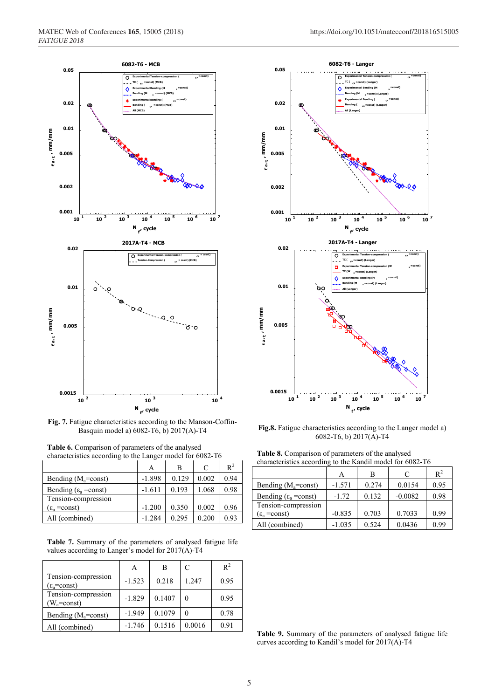

**Fig. 7.** Fatigue characteristics according to the Manson-Coffin-Basquin model a) 6082-T6, b) 2017(A)-T4

| <b>Table 6.</b> Comparison of parameters of the analysed  |  |  |
|-----------------------------------------------------------|--|--|
| characteristics according to the Langer model for 6082-T6 |  |  |
|                                                           |  |  |

|                                  | Α        | в     | C     | $R^2$ |
|----------------------------------|----------|-------|-------|-------|
| Bending $(M_a = const)$          | $-1.898$ | 0.129 | 0.002 | 0.94  |
| Bending $(\epsilon_{a} = const)$ | $-1.611$ | 0.193 | 1.068 | 0.98  |
| Tension-compression              |          |       |       |       |
| $(\epsilon_{\rm s}$ = const)     | $-1.200$ | 0.350 | 0.002 | 0.96  |
| All (combined)                   | $-1.284$ | 0.295 | 0.200 | 0.93  |

**Table 7.** Summary of the parameters of analysed fatigue life values according to Langer's model for 2017(A)-T4

|                                               | Α        | В      | C      | $R^2$ |
|-----------------------------------------------|----------|--------|--------|-------|
| Tension-compression<br>$(\epsilon_a = const)$ | $-1.523$ | 0.218  | 1.247  | 0.95  |
| Tension-compression<br>$(W_a = const)$        | $-1.829$ | 0.1407 | 0      | 0.95  |
| Bending $(M_a = const)$                       | $-1.949$ | 0.1079 | 0      | 0.78  |
| All (combined)                                | $-1.746$ | 0.1516 | 0.0016 | 0.91  |



**Fig.8.** Fatigue characteristics according to the Langer model a) 6082-T6, b) 2017(A)-T4

**Table 8.** Comparison of parameters of the analysed

| characteristics according to the Kandil model for 6082-T6 |          |       |           |       |  |  |  |
|-----------------------------------------------------------|----------|-------|-----------|-------|--|--|--|
|                                                           |          | В     |           | $R^2$ |  |  |  |
| Bending $(M_a = const)$                                   | $-1.571$ | 0.274 | 0.0154    | 0.95  |  |  |  |
| Bending ( $\varepsilon_a$ =const)                         | $-1.72$  | 0.132 | $-0.0082$ | 0.98  |  |  |  |
| Tension-compression                                       |          |       |           |       |  |  |  |
| $(\epsilon_a = const)$                                    | $-0.835$ | 0.703 | 0.7033    | 0.99  |  |  |  |

All (combined)  $-1.035 \begin{array}{|c|c|c|c|c|} \hline 0.524 & 0.0436 & 0.99 \hline \end{array}$ 

**Table 9.** Summary of the parameters of analysed fatigue life curves according to Kandil's model for 2017(A)-T4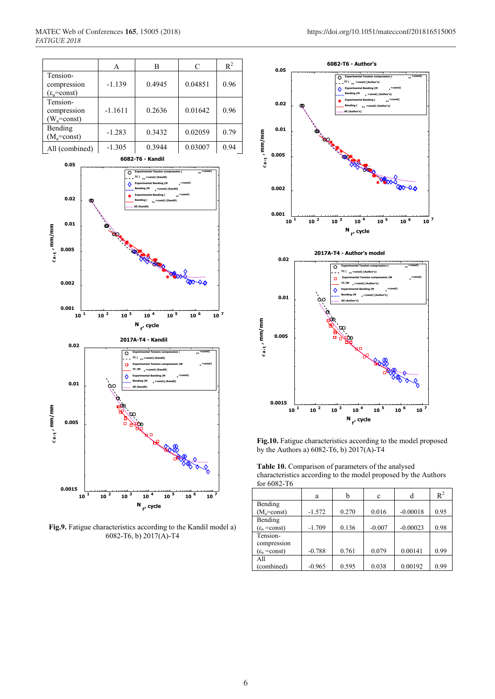|                                                   | Α         | В      | C       | $R^2$ |
|---------------------------------------------------|-----------|--------|---------|-------|
| Tension-<br>compression<br>$(\epsilon_a = const)$ | $-1.139$  | 0.4945 | 0.04851 | 0.96  |
| Tension-<br>compression<br>$(W_a = const)$        | $-1.1611$ | 0.2636 | 0.01642 | 0.96  |
| Bending<br>$(M_a = const)$                        | $-1.283$  | 0.3432 | 0.02059 | 0.79  |
| All (combined)                                    | $-1.305$  | 0.3944 | 0.03007 | 0.94  |



**Fig.9.** Fatigue characteristics according to the Kandil model a) 6082-T6, b) 2017(A)-T4



**Fig.10.** Fatigue characteristics according to the model proposed by the Authors a) 6082-T6, b) 2017(A)-T4

**Table 10.** Comparison of parameters of the analysed characteristics according to the model proposed by the Authors for 6082-T6

|                          | a        | h     | c        | d          | $R^2$ |
|--------------------------|----------|-------|----------|------------|-------|
| Bending                  |          |       |          |            |       |
| $(M_a = const)$          | $-1.572$ | 0.270 | 0.016    | $-0.00018$ | 0.95  |
| Bending                  |          |       |          |            |       |
| $(\epsilon_{a} = const)$ | $-1.709$ | 0.136 | $-0.007$ | $-0.00023$ | 0.98  |
| Tension-                 |          |       |          |            |       |
| compression              |          |       |          |            |       |
| $(\epsilon_{a} = const)$ | $-0.788$ | 0.761 | 0.079    | 0.00141    | 0.99  |
| All                      |          |       |          |            |       |
| (combined)               | $-0.965$ | 0.595 | 0.038    | 0.00192    | 0.99  |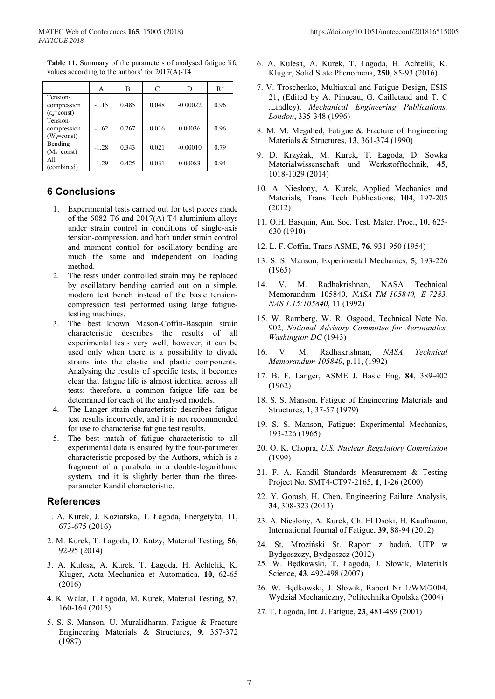**Table 11.** Summary of the parameters of analysed fatigue life values according to the authors' for 2017(A)-T4

|                                                   | A       | В     | C     | D          | $R^2$ |
|---------------------------------------------------|---------|-------|-------|------------|-------|
| Tension-<br>compression<br>$(\epsilon_a = const)$ | $-1.15$ | 0.485 | 0.048 | $-0.00022$ | 0.96  |
| Tension-<br>compression<br>$(W_a = const)$        | $-1.62$ | 0.267 | 0.016 | 0.00036    | 0.96  |
| Bending<br>$(M_a = const)$                        | $-1.28$ | 0.343 | 0.021 | $-0.00010$ | 0.79  |
| All<br>(combined)                                 | $-1.29$ | 0.425 | 0.031 | 0.00083    | 0.94  |

## **6 Conclusions**

- 1. Experimental tests carried out for test pieces made of the  $6082$ -T6 and  $2017(A)$ -T4 aluminium alloys under strain control in conditions of single-axis tension-compression, and both under strain control and moment control for oscillatory bending are much the same and independent on loading method.
- 2. The tests under controlled strain may be replaced by oscillatory bending carried out on a simple, modern test bench instead of the basic tensioncompression test performed using large fatiguetesting machines.
- 3. The best known Mason-Coffin-Basquin strain characteristic describes the results of all experimental tests very well; however, it can be used only when there is a possibility to divide strains into the elastic and plastic components. Analysing the results of specific tests, it becomes clear that fatigue life is almost identical across all tests; therefore, a common fatigue life can be determined for each of the analysed models.
- 4. The Langer strain characteristic describes fatigue test results incorrectly, and it is not recommended for use to characterise fatigue test results.
- 5. The best match of fatigue characteristic to all experimental data is ensured by the four-parameter characteristic proposed by the Authors, which is a fragment of a parabola in a double-logarithmic system, and it is slightly better than the threeparameter Kandil characteristic.

#### **References**

- 1. A. Kurek, J. Koziarska, T. Łagoda, Energetyka, **11**, 673-675 (2016)
- 2. M. Kurek, T. Łagoda, D. Katzy, Material Testing, **56**, 92-95 (2014)
- 3. A. Kulesa, A. Kurek, T. Łagoda, H. Achtelik, K. Kluger, Acta Mechanica et Automatica, **10**, 62-65 (2016)
- 4. K. Walat, T. Łagoda, M. Kurek, Material Testing, **57**, 160-164 (2015)
- 5. S. S. Manson, U. Muralidharan, Fatigue & Fracture Engineering Materials & Structures, **9**, 357-372 (1987)
- 6. A. Kulesa, A. Kurek, T. Łagoda, H. Achtelik, K. Kluger, Solid State Phenomena, **250**, 85-93 (2016)
- 7. V. Troschenko, Multiaxial and Fatigue Design, ESIS 21, (Edited by A. Pinueau, G. Cailletaud and T. C .Lindley), *Mechanical Engineering Publications, London*, 335-348 (1996)
- 8. M. M. Megahed, Fatigue & Fracture of Engineering Materials & Structures, **13**, 361-374 (1990)
- 9. D. Krzyżak, M. Kurek, T. Łagoda, D. Sówka Materialwissenschaft und Werkstofftechnik, **45**, 1018-1029 (2014)
- 10. A. Niesłony, A. Kurek, Applied Mechanics and Materials, Trans Tech Publications, **104**, 197-205 (2012)
- 11. O.H. Basquin, Am. Soc. Test. Mater. Proc., **10**, 625- 630 (1910)
- 12. L. F. Coffin, Trans ASME, **76**, 931-950 (1954)
- 13. S. S. Manson, Experimental Mechanics, **5**, 193-226 (1965)
- 14. V. M. Radhakrishnan, NASA Technical Memorandum 105840, *NASA-TM-105840, E-7283, NAS 1.15:105840*, 11 (1992)
- 15. W. Ramberg, W. R. Osgood, Technical Note No. 902, *National Advisory Committee for Aeronautics, Washington DC* (1943)
- 16. V. M. Radhakrishnan, *NASA Technical Memorandum 105840*, p.11, (1992)
- 17. B. F. Langer, ASME J. Basic Eng, **84**, 389-402 (1962)
- 18. S. S. Manson, Fatigue of Engineering Materials and Structures, **1**, 37-57 (1979)
- 19. S. S. Manson, Fatigue: Experimental Mechanics, 193-226 (1965)
- 20. O. K. Chopra, *U.S. Nuclear Regulatory Commission* (1999)
- 21. F. A. Kandil Standards Measurement & Testing Project No. SMT4-CT97-2165, **1**, 1-26 (2000)
- 22. Y. Gorash, H. Chen, Engineering Failure Analysis, **34**, 308-323 (2013)
- 23. A. Niesłony, A. Kurek, Ch. El Dsoki, H. Kaufmann, International Journal of Fatigue, **39**, 88-94 (2012)
- 24. St. Mroziński St. Raport z badań, UTP w Bydgoszczy, Bydgoszcz (2012)
- 25. W. Będkowski, T. Łagoda, J. Słowik, Materials Science, **43**, 492-498 (2007)
- 26. W. Będkowski, J. Słowik, Raport Nr 1/WM/2004, Wydział Mechaniczny, Politechnika Opolska (2004)
- 27. T. Łagoda, Int. J. Fatigue, **23**, 481-489 (2001)